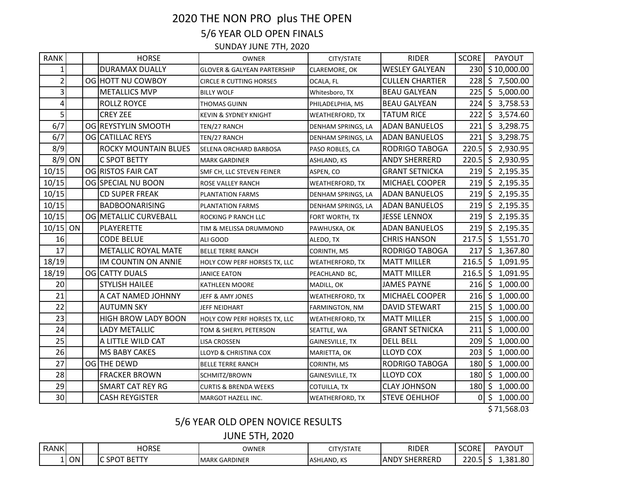## 2020 THE NON PRO plus THE OPEN 5/6 YEAR OLD OPEN FINALS

SUNDAY JUNE 7TH, 2020

| <b>RANK</b>    |    | <b>HORSE</b>                | <b>OWNER</b>                           | CITY/STATE             | <b>RIDER</b>           | <b>SCORE</b> | <b>PAYOUT</b>       |
|----------------|----|-----------------------------|----------------------------------------|------------------------|------------------------|--------------|---------------------|
| $\mathbf{1}$   |    | <b>DURAMAX DUALLY</b>       | <b>GLOVER &amp; GALYEAN PARTERSHIP</b> | CLAREMORE, OK          | <b>WESLEY GALYEAN</b>  |              | 230 \$10,000.00     |
| $\overline{2}$ |    | OG HOTT NU COWBOY           | <b>CIRCLE R CUTTING HORSES</b>         | OCALA, FL              | <b>CULLEN CHARTIER</b> |              | 228 \$7,500.00      |
| 3              |    | <b>METALLICS MVP</b>        | <b>BILLY WOLF</b>                      | Whitesboro, TX         | <b>BEAU GALYEAN</b>    |              | 225 \$ 5,000.00     |
| 4              |    | <b>ROLLZ ROYCE</b>          | <b>THOMAS GUINN</b>                    | PHILADELPHIA, MS       | <b>BEAU GALYEAN</b>    |              | 224 \$ 3,758.53     |
| 5              |    | <b>CREY ZEE</b>             | KEVIN & SYDNEY KNIGHT                  | <b>WEATHERFORD, TX</b> | <b>TATUM RICE</b>      |              | 222 \$ 3,574.60     |
| 6/7            |    | OG REYSTYLIN SMOOTH         | TEN/27 RANCH                           | DENHAM SPRINGS, LA     | <b>ADAN BANUELOS</b>   |              | 221 \$ 3,298.75     |
| 6/7            |    | OG CATILLAC REYS            | TEN/27 RANCH                           | DENHAM SPRINGS, LA     | <b>ADAN BANUELOS</b>   |              | 221 \$ 3,298.75     |
| 8/9            |    | <b>ROCKY MOUNTAIN BLUES</b> | SELENA ORCHARD BARBOSA                 | PASO ROBLES, CA        | <b>RODRIGO TABOGA</b>  |              | $220.5$ \$ 2,930.95 |
| 8/9            | ON | <b>C SPOT BETTY</b>         | <b>MARK GARDINER</b>                   | <b>ASHLAND, KS</b>     | <b>ANDY SHERRERD</b>   |              | 220.5 \$2,930.95    |
| 10/15          |    | OG RISTOS FAIR CAT          | SMF CH, LLC STEVEN FEINER              | ASPEN, CO              | <b>GRANT SETNICKA</b>  |              | 219 \$2,195.35      |
| 10/15          |    | OG SPECIAL NU BOON          | <b>ROSE VALLEY RANCH</b>               | <b>WEATHERFORD, TX</b> | MICHAEL COOPER         |              | 219 \$2,195.35      |
| 10/15          |    | <b>CD SUPER FREAK</b>       | PLANTATION FARMS                       | DENHAM SPRINGS, LA     | <b>ADAN BANUELOS</b>   |              | 219 \$2,195.35      |
| 10/15          |    | <b>BADBOONARISING</b>       | <b>PLANTATION FARMS</b>                | DENHAM SPRINGS, LA     | <b>ADAN BANUELOS</b>   |              | 219 \$2,195.35      |
| 10/15          |    | OG METALLIC CURVEBALL       | <b>ROCKING P RANCH LLC</b>             | FORT WORTH, TX         | <b>JESSE LENNOX</b>    |              | 219 \$2,195.35      |
| 10/15          | ON | <b>PLAYERETTE</b>           | TIM & MELISSA DRUMMOND                 | PAWHUSKA, OK           | <b>ADAN BANUELOS</b>   |              | 219 \$2,195.35      |
| 16             |    | <b>CODE BELUE</b>           | ALI GOOD                               | ALEDO, TX              | <b>CHRIS HANSON</b>    |              | 217.5 \$1,551.70    |
| 17             |    | <b>METALLIC ROYAL MATE</b>  | <b>BELLE TERRE RANCH</b>               | CORINTH, MS            | <b>RODRIGO TABOGA</b>  | 217          | \$1,367.80          |
| 18/19          |    | IM COUNTIN ON ANNIE         | HOLY COW PERF HORSES TX, LLC           | WEATHERFORD, TX        | <b>MATT MILLER</b>     |              | 216.5 \$1,091.95    |
| 18/19          |    | OG CATTY DUALS              | <b>JANICE EATON</b>                    | PEACHLAND BC,          | <b>MATT MILLER</b>     |              | 216.5 \$1,091.95    |
| 20             |    | <b>STYLISH HAILEE</b>       | <b>KATHLEEN MOORE</b>                  | MADILL, OK             | <b>JAMES PAYNE</b>     |              | 216 \$1,000.00      |
| 21             |    | A CAT NAMED JOHNNY          | JEFF & AMY JONES                       | WEATHERFORD, TX        | MICHAEL COOPER         |              | 216 \$ 1,000.00     |
| 22             |    | <b>AUTUMN SKY</b>           | JEFF NEIDHART                          | FARMINGTON, NM         | <b>DAVID STEWART</b>   |              | 215 \$1,000.00      |
| 23             |    | <b>HIGH BROW LADY BOON</b>  | HOLY COW PERF HORSES TX, LLC           | <b>WEATHERFORD, TX</b> | <b>MATT MILLER</b>     |              | 215 \$1,000.00      |
| 24             |    | LADY METALLIC               | TOM & SHERYL PETERSON                  | SEATTLE, WA            | <b>GRANT SETNICKA</b>  | 211 <b>1</b> | \$1,000.00          |
| 25             |    | A LITTLE WILD CAT           | <b>LISA CROSSEN</b>                    | <b>GAINESVILLE, TX</b> | <b>DELL BELL</b>       | 209          | \$1,000.00          |
| 26             |    | <b>MS BABY CAKES</b>        | LLOYD & CHRISTINA COX                  | MARIETTA, OK           | <b>LLOYD COX</b>       | 203          | \$1,000.00          |
| 27             |    | OG THE DEWD                 | <b>BELLE TERRE RANCH</b>               | CORINTH, MS            | <b>RODRIGO TABOGA</b>  | 180          | \$1,000.00          |
| 28             |    | <b>FRACKER BROWN</b>        | SCHMITZ/BROWN                          | GAINESVILLE, TX        | <b>LLOYD COX</b>       |              | 180 \$ 1,000.00     |
| 29             |    | <b>SMART CAT REY RG</b>     | <b>CURTIS &amp; BRENDA WEEKS</b>       | COTUILLA, TX           | <b>CLAY JOHNSON</b>    |              | 180 \$ 1,000.00     |
| 30             |    | <b>CASH REYGISTER</b>       | MARGOT HAZELL INC.                     | <b>WEATHERFORD, TX</b> | <b>STEVE OEHLHOF</b>   | οI           | \$1,000.00          |

\$ 71,568.03

## 5/6 YEAR OLD OPEN NOVICE RESULTS

JUNE 5TH, 2020

| <b>RANK</b>     |           | HORSE                                                       | OWNER                   | $1$ $C$ $T$ $A$ $T$ $F$<br>~…<br>/SIAIE | <b>RIDER</b>                   | <b>SCORE</b> | <b>PAYOUT</b> |
|-----------------|-----------|-------------------------------------------------------------|-------------------------|-----------------------------------------|--------------------------------|--------------|---------------|
| <u>. на стр</u> | <b>ON</b> | <b>SPOT</b><br><b>BETT</b><br>$\overline{\phantom{a}}$<br>ີ | GARDINER<br><b>MARK</b> | ASHLAND, KS<br>$\wedge$                 | <b>SHERRERD</b><br><b>ANDY</b> | 220<br>----  | 1,381.80      |